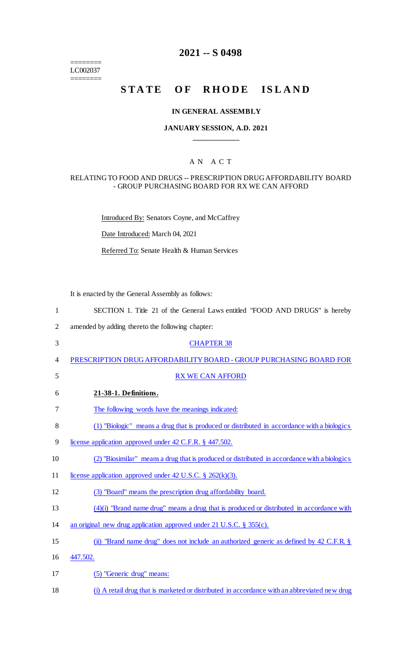======== LC002037

 $=$ 

# **2021 -- S 0498**

# **STATE OF RHODE ISLAND**

### **IN GENERAL ASSEMBLY**

### **JANUARY SESSION, A.D. 2021 \_\_\_\_\_\_\_\_\_\_\_\_**

### A N A C T

#### RELATING TO FOOD AND DRUGS -- PRESCRIPTION DRUG AFFORDABILITY BOARD - GROUP PURCHASING BOARD FOR RX WE CAN AFFORD

Introduced By: Senators Coyne, and McCaffrey

Date Introduced: March 04, 2021

Referred To: Senate Health & Human Services

It is enacted by the General Assembly as follows:

| $\mathbf{1}$ | SECTION 1. Title 21 of the General Laws entitled "FOOD AND DRUGS" is hereby                  |
|--------------|----------------------------------------------------------------------------------------------|
| 2            | amended by adding thereto the following chapter:                                             |
| 3            | <b>CHAPTER 38</b>                                                                            |
| 4            | PRESCRIPTION DRUG AFFORDABILITY BOARD - GROUP PURCHASING BOARD FOR                           |
| 5            | <b>RX WE CAN AFFORD</b>                                                                      |
| 6            | 21-38-1. Definitions.                                                                        |
| 7            | The following words have the meanings indicated:                                             |
| 8            | (1) "Biologic" means a drug that is produced or distributed in accordance with a biologics   |
| 9            | license application approved under 42 C.F.R. § 447.502.                                      |
| 10           | (2) "Biosimilar" means a drug that is produced or distributed in accordance with a biologics |
| 11           | license application approved under 42 U.S.C. $\S$ 262(k)(3).                                 |
| 12           | (3) "Board" means the prescription drug affordability board.                                 |
| 13           | $(4)(i)$ "Brand name drug" means a drug that is produced or distributed in accordance with   |
| 14           | an original new drug application approved under $21$ U.S.C. § 355(c).                        |
| 15           | (ii) "Brand name drug" does not include an authorized generic as defined by 42 C.F.R. §      |
| 16           | 447.502.                                                                                     |
| 17           | (5) "Generic drug" means:                                                                    |
|              |                                                                                              |

18 (i) A retail drug that is marketed or distributed in accordance with an abbreviated new drug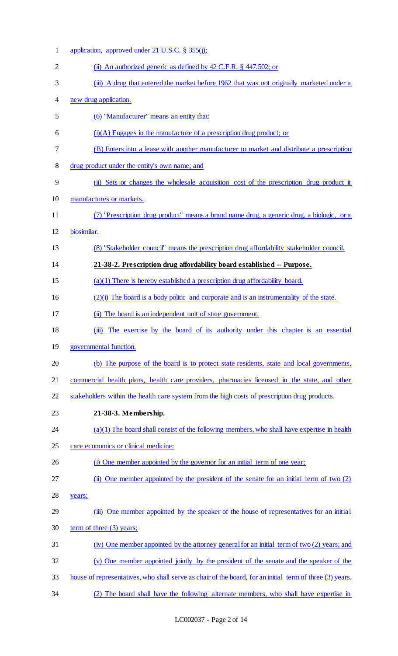| $\mathbf{1}$   | application, approved under 21 U.S.C. $\S$ 355(j);                                                       |
|----------------|----------------------------------------------------------------------------------------------------------|
| $\overline{2}$ | (ii) An authorized generic as defined by $42$ C.F.R. § $447.502$ ; or                                    |
| 3              | (iii) A drug that entered the market before 1962 that was not originally marketed under a                |
| 4              | new drug application.                                                                                    |
| 5              | (6) "Manufacturer" means an entity that:                                                                 |
| 6              | $(i)(A)$ Engages in the manufacture of a prescription drug product; or                                   |
| 7              | (B) Enters into a lease with another manufacturer to market and distribute a prescription                |
| 8              | drug product under the entity's own name; and                                                            |
| 9              | (ii) Sets or changes the wholesale acquisition cost of the prescription drug product it                  |
| 10             | manufactures or markets.                                                                                 |
| 11             | (7) "Prescription drug product" means a brand name drug, a generic drug, a biologic, or a                |
| 12             | biosimilar.                                                                                              |
| 13             | (8) "Stakeholder council" means the prescription drug affordability stakeholder council.                 |
| 14             | 21-38-2. Prescription drug affordability board established -- Purpose.                                   |
| 15             | $(a)(1)$ There is hereby established a prescription drug affordability board.                            |
| 16             | $(2)(i)$ The board is a body politic and corporate and is an instrumentality of the state.               |
| 17             | (ii) The board is an independent unit of state government.                                               |
| 18             | The exercise by the board of its authority under this chapter is an essential<br>(iii)                   |
| 19             | governmental function.                                                                                   |
| 20             | (b) The purpose of the board is to protect state residents, state and local governments,                 |
| 21             | commercial health plans, health care providers, pharmacies licensed in the state, and other              |
| 22             | stakeholders within the health care system from the high costs of prescription drug products.            |
| 23             | 21-38-3. Membership.                                                                                     |
| 24             | $(a)(1)$ The board shall consist of the following members, who shall have expertise in health            |
| 25             | care economics or clinical medicine:                                                                     |
| 26             | (i) One member appointed by the governor for an initial term of one year;                                |
| 27             | One member appointed by the president of the senate for an initial term of two (2)<br>(ii)               |
| 28             | years;                                                                                                   |
| 29             | (iii) One member appointed by the speaker of the house of representatives for an initial                 |
| 30             | term of three (3) years;                                                                                 |
| 31             | (iv) One member appointed by the attorney general for an initial term of two (2) years; and              |
| 32             | (v) One member appointed jointly by the president of the senate and the speaker of the                   |
| 33             | house of representatives, who shall serve as chair of the board, for an initial term of three (3) years. |
| 34             | The board shall have the following alternate members, who shall have expertise in                        |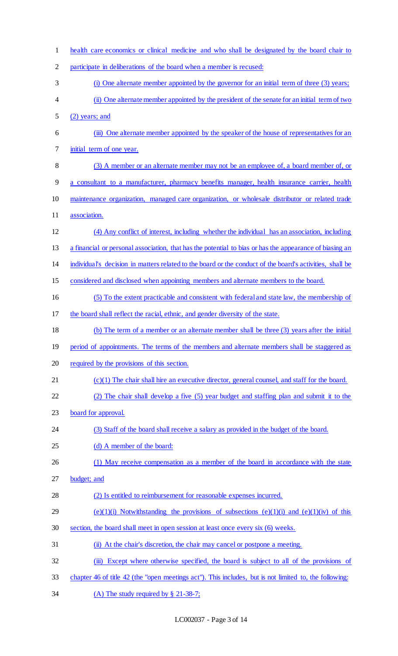| $\mathbf{1}$ | health care economics or clinical medicine and who shall be designated by the board chair to              |
|--------------|-----------------------------------------------------------------------------------------------------------|
| 2            | participate in deliberations of the board when a member is recused:                                       |
| 3            | (i) One alternate member appointed by the governor for an initial term of three (3) years;                |
| 4            | (ii) One alternate member appointed by the president of the senate for an initial term of two             |
| 5            | (2) years; and                                                                                            |
| 6            | (iii) One alternate member appointed by the speaker of the house of representatives for an                |
| 7            | initial term of one year.                                                                                 |
| 8            | (3) A member or an alternate member may not be an employee of, a board member of, or                      |
| 9            | a consultant to a manufacturer, pharmacy benefits manager, health insurance carrier, health               |
| 10           | maintenance organization, managed care organization, or wholesale distributor or related trade            |
| 11           | association.                                                                                              |
| 12           | (4) Any conflict of interest, including whether the individual has an association, including              |
| 13           | a financial or personal association, that has the potential to bias or has the appearance of biasing an   |
| 14           | individual's decision in matters related to the board or the conduct of the board's activities, shall be  |
| 15           | considered and disclosed when appointing members and alternate members to the board.                      |
| 16           | (5) To the extent practicable and consistent with federal and state law, the membership of                |
| 17           | the board shall reflect the racial, ethnic, and gender diversity of the state.                            |
| 18           | (b) The term of a member or an alternate member shall be three (3) years after the initial                |
| 19           | period of appointments. The terms of the members and alternate members shall be staggered as              |
| 20           | required by the provisions of this section.                                                               |
| 21           | $(c)(1)$ The chair shall hire an executive director, general counsel, and staff for the board.            |
| 22           | (2) The chair shall develop a five (5) year budget and staffing plan and submit it to the                 |
| 23           | board for approval.                                                                                       |
| 24           | (3) Staff of the board shall receive a salary as provided in the budget of the board.                     |
| 25           | (d) A member of the board:                                                                                |
| 26           | (1) May receive compensation as a member of the board in accordance with the state                        |
| 27           | budget; and                                                                                               |
| 28           | (2) Is entitled to reimbursement for reasonable expenses incurred.                                        |
| 29           | $(e)(1)(i)$ Notwithstanding the provisions of subsections $(e)(1)(i)$ and $(e)(1)(iv)$ of this            |
| 30           | section, the board shall meet in open session at least once every six (6) weeks.                          |
| 31           | (ii) At the chair's discretion, the chair may cancel or postpone a meeting.                               |
| 32           | Except where otherwise specified, the board is subject to all of the provisions of<br>$\ddot{\mathbf{m}}$ |
| 33           | chapter 46 of title 42 (the "open meetings act"). This includes, but is not limited to, the following:    |
| 34           | (A) The study required by $\S$ 21-38-7;                                                                   |

LC002037 - Page 3 of 14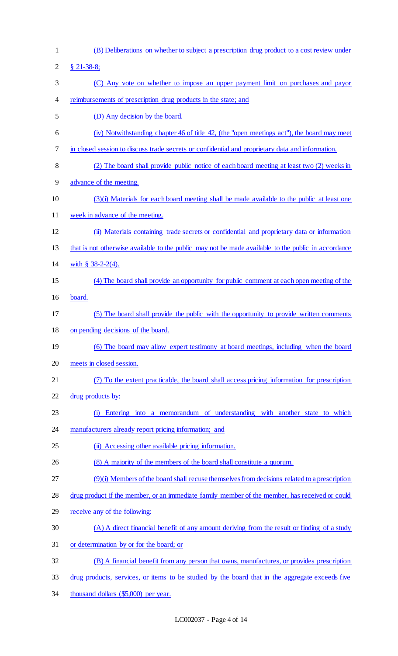(B) Deliberations on whether to subject a prescription drug product to a cost review under § 21-38-8; (C) Any vote on whether to impose an upper payment limit on purchases and payor reimbursements of prescription drug products in the state; and (D) Any decision by the board. (iv) Notwithstanding chapter 46 of title 42, (the "open meetings act"), the board may meet in closed session to discuss trade secrets or confidential and proprietary data and information. (2) The board shall provide public notice of each board meeting at least two (2) weeks in advance of the meeting. (3)(i) Materials for each board meeting shall be made available to the public at least one week in advance of the meeting. (ii) Materials containing trade secrets or confidential and proprietary data or information that is not otherwise available to the public may not be made available to the public in accordance 14 with § 38-2-2(4). (4) The board shall provide an opportunity for public comment at each open meeting of the board. (5) The board shall provide the public with the opportunity to provide written comments on pending decisions of the board. (6) The board may allow expert testimony at board meetings, including when the board meets in closed session. (7) To the extent practicable, the board shall access pricing information for prescription drug products by: (i) Entering into a memorandum of understanding with another state to which 24 manufacturers already report pricing information; and (ii) Accessing other available pricing information. (8) A majority of the members of the board shall constitute a quorum. (9)(i) Members of the board shall recuse themselves from decisions related to a prescription drug product if the member, or an immediate family member of the member, has received or could receive any of the following: (A) A direct financial benefit of any amount deriving from the result or finding of a study or determination by or for the board; or (B) A financial benefit from any person that owns, manufactures, or provides prescription drug products, services, or items to be studied by the board that in the aggregate exceeds five thousand dollars (\$5,000) per year.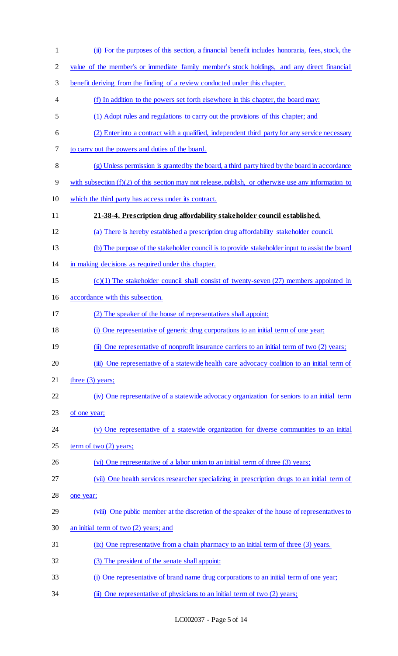| $\mathbf{1}$   | (ii) For the purposes of this section, a financial benefit includes honoraria, fees, stock, the        |
|----------------|--------------------------------------------------------------------------------------------------------|
| $\overline{2}$ | value of the member's or immediate family member's stock holdings, and any direct financial            |
| 3              | benefit deriving from the finding of a review conducted under this chapter.                            |
| 4              | (f) In addition to the powers set forth elsewhere in this chapter, the board may:                      |
| 5              | (1) Adopt rules and regulations to carry out the provisions of this chapter; and                       |
| 6              | (2) Enter into a contract with a qualified, independent third party for any service necessary          |
| 7              | to carry out the powers and duties of the board.                                                       |
| $\,8\,$        | (g) Unless permission is granted by the board, a third party hired by the board in accordance          |
| 9              | with subsection $(f)(2)$ of this section may not release, publish, or otherwise use any information to |
| 10             | which the third party has access under its contract.                                                   |
| 11             | 21-38-4. Prescription drug affordability stakeholder council established.                              |
| 12             | (a) There is hereby established a prescription drug affordability stakeholder council.                 |
| 13             | (b) The purpose of the stakeholder council is to provide stakeholder input to assist the board         |
| 14             | in making decisions as required under this chapter.                                                    |
| 15             | $(c)(1)$ The stakeholder council shall consist of twenty-seven (27) members appointed in               |
| 16             | accordance with this subsection.                                                                       |
| 17             | (2) The speaker of the house of representatives shall appoint:                                         |
| 18             | (i) One representative of generic drug corporations to an initial term of one year;                    |
| 19             | (ii) One representative of nonprofit insurance carriers to an initial term of two (2) years;           |
| 20             | (iii) One representative of a statewide health care advocacy coalition to an initial term of           |
| 21             | three $(3)$ years;                                                                                     |
| 22             | (iv) One representative of a statewide advocacy organization for seniors to an initial term            |
| 23             | of one year;                                                                                           |
| 24             | (v) One representative of a statewide organization for diverse communities to an initial               |
| 25             | term of two $(2)$ years;                                                                               |
| 26             | (vi) One representative of a labor union to an initial term of three (3) years;                        |
| 27             | (vii) One health services researcher specializing in prescription drugs to an initial term of          |
| 28             | one year;                                                                                              |
| 29             | (viii) One public member at the discretion of the speaker of the house of representatives to           |
| 30             | an initial term of two $(2)$ years; and                                                                |
| 31             | (ix) One representative from a chain pharmacy to an initial term of three (3) years.                   |
| 32             | (3) The president of the senate shall appoint:                                                         |
| 33             | (i) One representative of brand name drug corporations to an initial term of one year;                 |
| 34             | (ii) One representative of physicians to an initial term of two (2) years;                             |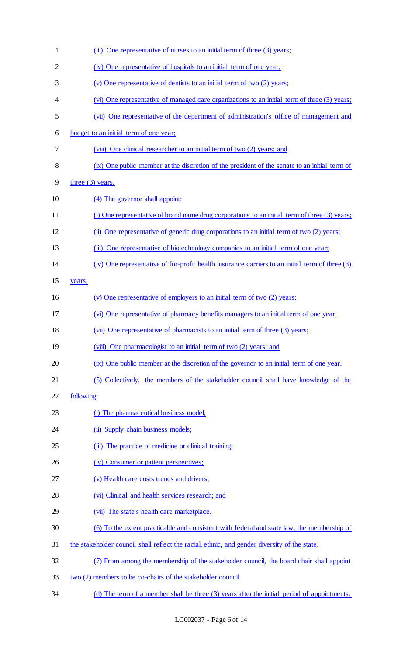| $\mathbf{1}$   | (iii) One representative of nurses to an initial term of three (3) years;                       |
|----------------|-------------------------------------------------------------------------------------------------|
| $\overline{2}$ | (iv) One representative of hospitals to an initial term of one year;                            |
| 3              | (v) One representative of dentists to an initial term of two (2) years;                         |
| 4              | (vi) One representative of managed care organizations to an initial term of three (3) years;    |
| 5              | (vii) One representative of the department of administration's office of management and         |
| 6              | budget to an initial term of one year;                                                          |
| 7              | (viii) One clinical researcher to an initial term of two (2) years; and                         |
| 8              | (ix) One public member at the discretion of the president of the senate to an initial term of   |
| 9              | three $(3)$ years.                                                                              |
| 10             | (4) The governor shall appoint:                                                                 |
| 11             | (i) One representative of brand name drug corporations to an initial term of three (3) years;   |
| 12             | (ii) One representative of generic drug corporations to an initial term of two (2) years;       |
| 13             | (iii) One representative of biotechnology companies to an initial term of one year;             |
| 14             | (iv) One representative of for-profit health insurance carriers to an initial term of three (3) |
| 15             | years;                                                                                          |
| 16             | (v) One representative of employers to an initial term of two (2) years;                        |
| 17             | (vi) One representative of pharmacy benefits managers to an initial term of one year;           |
| 18             | (vii) One representative of pharmacists to an initial term of three (3) years;                  |
| 19             | (viii) One pharmacologist to an initial term of two (2) years; and                              |
| 20             | (ix) One public member at the discretion of the governor to an initial term of one year.        |
| 21             | (5) Collectively, the members of the stakeholder council shall have knowledge of the            |
| 22             | following:                                                                                      |
| 23             | (i) The pharmaceutical business model;                                                          |
| 24             | (ii) Supply chain business models;                                                              |
| 25             | (iii) The practice of medicine or clinical training;                                            |
| 26             | (iv) Consumer or patient perspectives;                                                          |
| 27             | (v) Health care costs trends and drivers;                                                       |
| 28             | (vi) Clinical and health services research; and                                                 |
| 29             | (vii) The state's health care marketplace.                                                      |
| 30             | (6) To the extent practicable and consistent with federal and state law, the membership of      |
| 31             | the stakeholder council shall reflect the racial, ethnic, and gender diversity of the state.    |
| 32             | (7) From among the membership of the stakeholder council, the board chair shall appoint         |
| 33             | two (2) members to be co-chairs of the stakeholder council.                                     |
| 34             | (d) The term of a member shall be three (3) years after the initial period of appointments.     |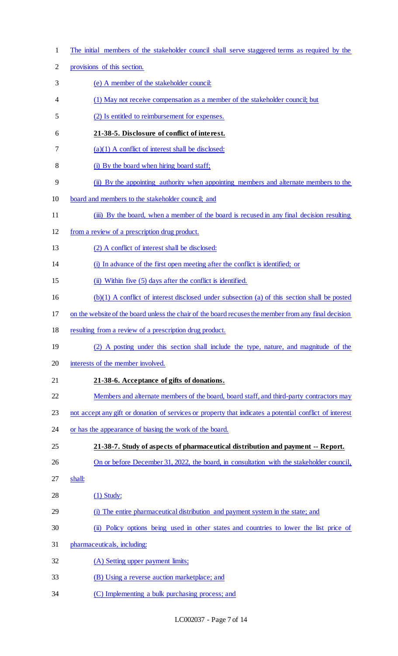|        | The initial members of the stakeholder council shall serve staggered terms as required by the           |
|--------|---------------------------------------------------------------------------------------------------------|
|        | provisions of this section.                                                                             |
|        | (e) A member of the stakeholder council:                                                                |
|        | (1) May not receive compensation as a member of the stakeholder council; but                            |
|        | (2) Is entitled to reimbursement for expenses.                                                          |
|        | 21-38-5. Disclosure of conflict of interest.                                                            |
|        | $(a)(1)$ A conflict of interest shall be disclosed:                                                     |
|        | (i) By the board when hiring board staff;                                                               |
|        | (ii) By the appointing authority when appointing members and alternate members to the                   |
|        | board and members to the stakeholder council; and                                                       |
|        | (iii) By the board, when a member of the board is recused in any final decision resulting               |
|        | from a review of a prescription drug product.                                                           |
|        | (2) A conflict of interest shall be disclosed:                                                          |
|        | (i) In advance of the first open meeting after the conflict is identified; or                           |
|        | (ii) Within five (5) days after the conflict is identified.                                             |
|        | (b)(1) A conflict of interest disclosed under subsection (a) of this section shall be posted            |
|        | on the website of the board unless the chair of the board recuses the member from any final decision    |
|        | resulting from a review of a prescription drug product.                                                 |
|        | (2) A posting under this section shall include the type, nature, and magnitude of the                   |
|        | interests of the member involved.                                                                       |
|        | 21-38-6. Acceptance of gifts of donations.                                                              |
|        | Members and alternate members of the board, board staff, and third-party contractors may                |
|        | not accept any gift or donation of services or property that indicates a potential conflict of interest |
|        | or has the appearance of biasing the work of the board.                                                 |
|        | 21-38-7. Study of aspects of pharmaceutical distribution and payment -- Report.                         |
|        | On or before December 31, 2022, the board, in consultation with the stakeholder council,                |
| shall: |                                                                                                         |
|        | $(1)$ Study:                                                                                            |
|        | (i) The entire pharmaceutical distribution and payment system in the state; and                         |
|        | (ii) Policy options being used in other states and countries to lower the list price of                 |
|        | pharmaceuticals, including:                                                                             |
|        | (A) Setting upper payment limits;                                                                       |
|        | (B) Using a reverse auction marketplace; and                                                            |
|        | (C) Implementing a bulk purchasing process; and                                                         |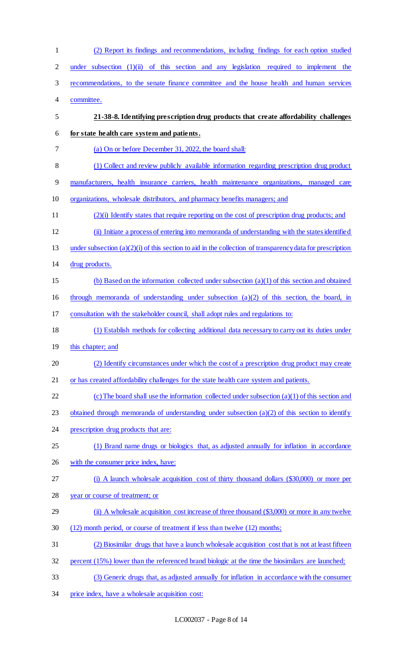(2) Report its findings and recommendations, including findings for each option studied under subsection (1)(ii) of this section and any legislation required to implement the recommendations, to the senate finance committee and the house health and human services committee. **21-38-8. Identifying prescription drug products that create affordability challenges for state health care system and patients.**  (a) On or before December 31, 2022, the board shall: (1) Collect and review publicly available information regarding prescription drug product manufacturers, health insurance carriers, health maintenance organizations, managed care organizations, wholesale distributors, and pharmacy benefits managers; and (2)(i) Identify states that require reporting on the cost of prescription drug products; and (ii) Initiate a process of entering into memoranda of understanding with the states identified under subsection (a)(2)(i) of this section to aid in the collection of transparency data for prescription drug products. (b) Based on the information collected under subsection (a)(1) of this section and obtained through memoranda of understanding under subsection (a)(2) of this section, the board, in consultation with the stakeholder council, shall adopt rules and regulations to: (1) Establish methods for collecting additional data necessary to carry out its duties under this chapter; and (2) Identify circumstances under which the cost of a prescription drug product may create or has created affordability challenges for the state health care system and patients. 22 (c) The board shall use the information collected under subsection  $(a)(1)$  of this section and obtained through memoranda of understanding under subsection (a)(2) of this section to identify prescription drug products that are: (1) Brand name drugs or biologics that, as adjusted annually for inflation in accordance 26 with the consumer price index, have: (i) A launch wholesale acquisition cost of thirty thousand dollars (\$30,000) or more per year or course of treatment; or (ii) A wholesale acquisition cost increase of three thousand (\$3,000) or more in any twelve (12) month period, or course of treatment if less than twelve (12) months; (2) Biosimilar drugs that have a launch wholesale acquisition cost that is not at least fifteen percent (15%) lower than the referenced brand biologic at the time the biosimilars are launched; (3) Generic drugs that, as adjusted annually for inflation in accordance with the consumer price index, have a wholesale acquisition cost: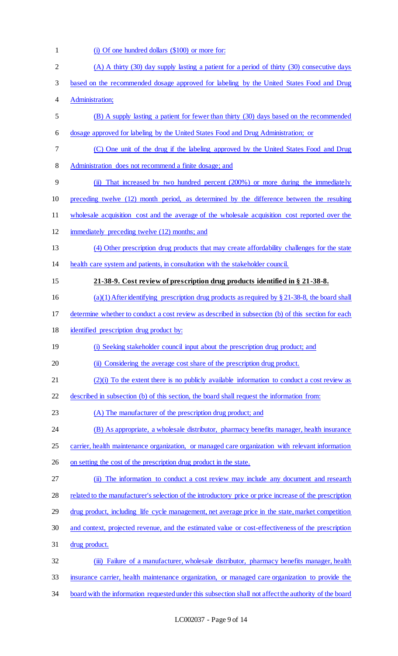| $\mathbf{1}$ | (i) Of one hundred dollars (\$100) or more for:                                                         |
|--------------|---------------------------------------------------------------------------------------------------------|
| $\mathbf{2}$ | (A) A thirty (30) day supply lasting a patient for a period of thirty (30) consecutive days             |
| 3            | based on the recommended dosage approved for labeling by the United States Food and Drug                |
| 4            | Administration;                                                                                         |
| 5            | (B) A supply lasting a patient for fewer than thirty (30) days based on the recommended                 |
| 6            | dosage approved for labeling by the United States Food and Drug Administration; or                      |
| 7            | (C) One unit of the drug if the labeling approved by the United States Food and Drug                    |
| 8            | Administration does not recommend a finite dosage; and                                                  |
| 9            | (ii) That increased by two hundred percent (200%) or more during the immediately                        |
| 10           | preceding twelve (12) month period, as determined by the difference between the resulting               |
| 11           | wholesale acquisition cost and the average of the wholesale acquisition cost reported over the          |
| 12           | immediately preceding twelve (12) months; and                                                           |
| 13           | (4) Other prescription drug products that may create affordability challenges for the state             |
| 14           | health care system and patients, in consultation with the stakeholder council.                          |
| 15           | 21-38-9. Cost review of prescription drug products identified in § 21-38-8.                             |
| 16           | (a)(1) After identifying prescription drug products as required by $\S 21-38-8$ , the board shall       |
| 17           | determine whether to conduct a cost review as described in subsection (b) of this section for each      |
| 18           | identified prescription drug product by:                                                                |
| 19           | (i) Seeking stakeholder council input about the prescription drug product; and                          |
| 20           | (ii) Considering the average cost share of the prescription drug product.                               |
| 21           | $(2)(i)$ To the extent there is no publicly available information to conduct a cost review as           |
| 22           | described in subsection (b) of this section, the board shall request the information from:              |
| 23           | (A) The manufacturer of the prescription drug product; and                                              |
| 24           | (B) As appropriate, a wholesale distributor, pharmacy benefits manager, health insurance                |
| 25           | carrier, health maintenance organization, or managed care organization with relevant information        |
| 26           | on setting the cost of the prescription drug product in the state.                                      |
| 27           | (ii) The information to conduct a cost review may include any document and research                     |
| 28           | related to the manufacturer's selection of the introductory price or price increase of the prescription |
| 29           | drug product, including life cycle management, net average price in the state, market competition       |
| 30           | and context, projected revenue, and the estimated value or cost-effectiveness of the prescription       |
| 31           | drug product.                                                                                           |
| 32           | (iii) Failure of a manufacturer, wholesale distributor, pharmacy benefits manager, health               |
| 33           | insurance carrier, health maintenance organization, or managed care organization to provide the         |
| 34           | board with the information requested under this subsection shall not affect the authority of the board  |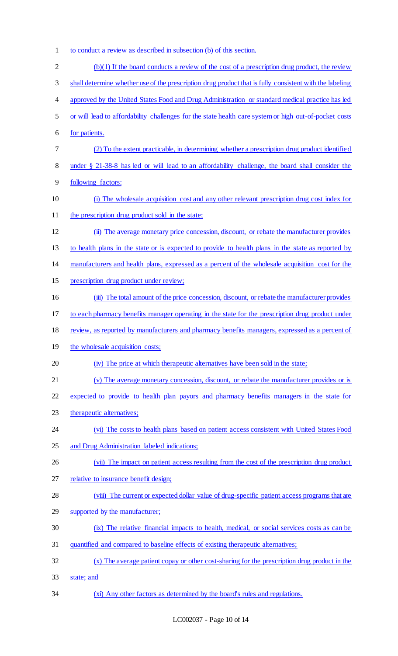- to conduct a review as described in subsection (b) of this section.
- $2 \left( \frac{b}{1} \right)$  If the board conducts a review of the cost of a prescription drug product, the review shall determine whether use of the prescription drug product that is fully consistent with the labeling 4 approved by the United States Food and Drug Administration or standard medical practice has led or will lead to affordability challenges for the state health care system or high out-of-pocket costs for patients. (2) To the extent practicable, in determining whether a prescription drug product identified under § 21-38-8 has led or will lead to an affordability challenge, the board shall consider the following factors: (i) The wholesale acquisition cost and any other relevant prescription drug cost index for 11 the prescription drug product sold in the state; (ii) The average monetary price concession, discount, or rebate the manufacturer provides to health plans in the state or is expected to provide to health plans in the state as reported by manufacturers and health plans, expressed as a percent of the wholesale acquisition cost for the prescription drug product under review; (iii) The total amount of the price concession, discount, or rebate the manufacturer provides to each pharmacy benefits manager operating in the state for the prescription drug product under review, as reported by manufacturers and pharmacy benefits managers, expressed as a percent of 19 the wholesale acquisition costs; (iv) The price at which therapeutic alternatives have been sold in the state; (v) The average monetary concession, discount, or rebate the manufacturer provides or is expected to provide to health plan payors and pharmacy benefits managers in the state for 23 therapeutic alternatives; (vi) The costs to health plans based on patient access consistent with United States Food and Drug Administration labeled indications; (vii) The impact on patient access resulting from the cost of the prescription drug product relative to insurance benefit design; (viii) The current or expected dollar value of drug-specific patient access programs that are 29 supported by the manufacturer; (ix) The relative financial impacts to health, medical, or social services costs as can be quantified and compared to baseline effects of existing therapeutic alternatives; (x) The average patient copay or other cost-sharing for the prescription drug product in the state; and (xi) Any other factors as determined by the board's rules and regulations.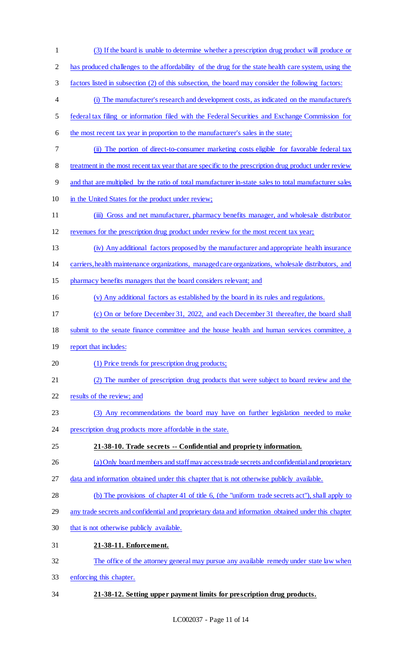(3) If the board is unable to determine whether a prescription drug product will produce or has produced challenges to the affordability of the drug for the state health care system, using the factors listed in subsection (2) of this subsection, the board may consider the following factors: (i) The manufacturer's research and development costs, as indicated on the manufacturer's federal tax filing or information filed with the Federal Securities and Exchange Commission for 6 the most recent tax year in proportion to the manufacturer's sales in the state; (ii) The portion of direct-to-consumer marketing costs eligible for favorable federal tax 8 treatment in the most recent tax year that are specific to the prescription drug product under review and that are multiplied by the ratio of total manufacturer in-state sales to total manufacturer sales 10 in the United States for the product under review; (iii) Gross and net manufacturer, pharmacy benefits manager, and wholesale distributor revenues for the prescription drug product under review for the most recent tax year; (iv) Any additional factors proposed by the manufacturer and appropriate health insurance carriers, health maintenance organizations, managed care organizations, wholesale distributors, and pharmacy benefits managers that the board considers relevant; and (v) Any additional factors as established by the board in its rules and regulations. (c) On or before December 31, 2022, and each December 31 thereafter, the board shall submit to the senate finance committee and the house health and human services committee, a 19 report that includes: (1) Price trends for prescription drug products; (2) The number of prescription drug products that were subject to board review and the results of the review; and (3) Any recommendations the board may have on further legislation needed to make prescription drug products more affordable in the state. **21-38-10. Trade secrets -- Confidential and propriety information.**  (a) Only board members and staff may access trade secrets and confidential and proprietary data and information obtained under this chapter that is not otherwise publicly available. (b) The provisions of chapter 41 of title 6, (the "uniform trade secrets act"), shall apply to any trade secrets and confidential and proprietary data and information obtained under this chapter that is not otherwise publicly available. **21-38-11. Enforcement.**  The office of the attorney general may pursue any available remedy under state law when enforcing this chapter. **21-38-12. Setting upper payment limits for prescription drug products.**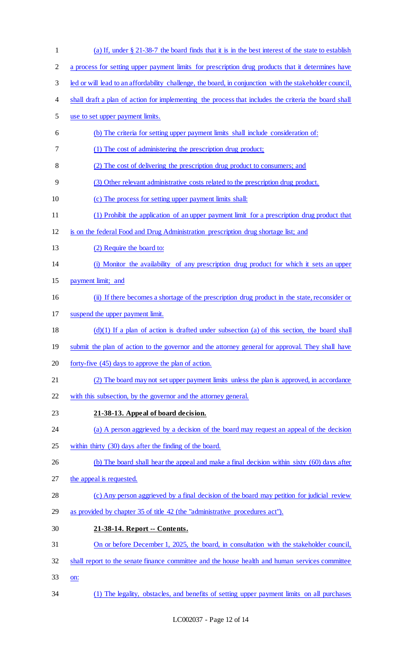(a) If, under § 21-38-7 the board finds that it is in the best interest of the state to establish a process for setting upper payment limits for prescription drug products that it determines have led or will lead to an affordability challenge, the board, in conjunction with the stakeholder council, 4 shall draft a plan of action for implementing the process that includes the criteria the board shall use to set upper payment limits. (b) The criteria for setting upper payment limits shall include consideration of: (1) The cost of administering the prescription drug product; (2) The cost of delivering the prescription drug product to consumers; and (3) Other relevant administrative costs related to the prescription drug product. (c) The process for setting upper payment limits shall: (1) Prohibit the application of an upper payment limit for a prescription drug product that is on the federal Food and Drug Administration prescription drug shortage list; and 13 (2) Require the board to: (i) Monitor the availability of any prescription drug product for which it sets an upper payment limit; and (ii) If there becomes a shortage of the prescription drug product in the state, reconsider or suspend the upper payment limit.  $(d)(1)$  If a plan of action is drafted under subsection (a) of this section, the board shall 19 submit the plan of action to the governor and the attorney general for approval. They shall have forty-five (45) days to approve the plan of action. (2) The board may not set upper payment limits unless the plan is approved, in accordance 22 with this subsection, by the governor and the attorney general. **21-38-13. Appeal of board decision.**  24 (a) A person aggrieved by a decision of the board may request an appeal of the decision within thirty (30) days after the finding of the board. 26 (b) The board shall hear the appeal and make a final decision within sixty (60) days after the appeal is requested. (c) Any person aggrieved by a final decision of the board may petition for judicial review as provided by chapter 35 of title 42 (the "administrative procedures act"). **21-38-14. Report -- Contents.**  On or before December 1, 2025, the board, in consultation with the stakeholder council, shall report to the senate finance committee and the house health and human services committee on: (1) The legality, obstacles, and benefits of setting upper payment limits on all purchases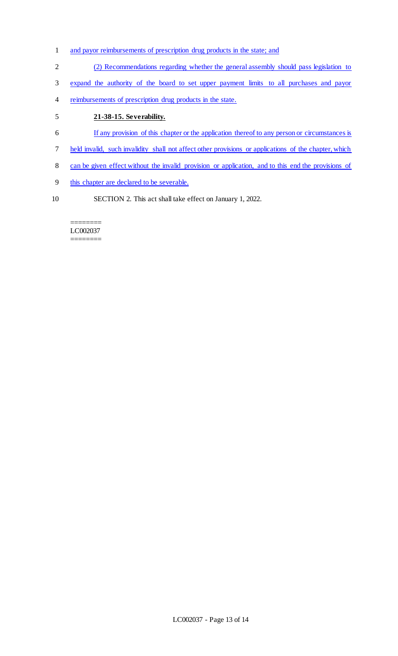- and payor reimbursements of prescription drug products in the state; and
- (2) Recommendations regarding whether the general assembly should pass legislation to
- expand the authority of the board to set upper payment limits to all purchases and payor
- 4 reimbursements of prescription drug products in the state.

## **21-38-15. Severability.**

- If any provision of this chapter or the application thereof to any person or circumstances is
- held invalid, such invalidity shall not affect other provisions or applications of the chapter, which
- can be given effect without the invalid provision or application, and to this end the provisions of
- this chapter are declared to be severable.
- SECTION 2. This act shall take effect on January 1, 2022.

#### ======== LC002037 ========